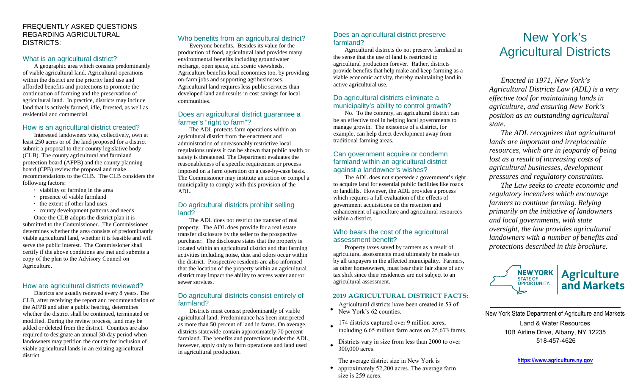## FREQUENTLY ASKED QUESTIONS REGARDING AGRICULTURAL DISTRICTS:

## What is an agricultural district?

A geographic area which consists predominantly of viable agricultural land. Agricultural operations within the district are the priority land use and afforded benefits and protections to promote the continuation of farming and the preservation of agricultural land. In practice, districts may include land that is actively farmed, idle, forested, as well as residential and commercial.

## How is an agricultural district created?

Interested landowners who, collectively, own at least 250 acres or of the land proposed for a district submit a proposal to their county legislative body (CLB). The county agricultural and farmland protection board (AFPB) and the county planning board (CPB) review the proposal and make recommendations to the CLB. The CLB considers the following factors:

- **·** viability of farming in the area
- **·** presence of viable farmland
- **·** the extent of other land uses
- **·** county development patterns and needs

Once the CLB adopts the district plan it is submitted to the Commissioner. The Commissioner determines whether the area consists of predominantly viable agricultural land, whether it is feasible and will serve the public interest. The Commissioner shall certify if the above conditions are met and submits a copy of the plan to the Advisory Council on Agriculture.

# How are agricultural districts reviewed?

Districts are usually renewed every 8 years. The CLB, after receiving the report and recommendation of the AFPB and after a public hearing, determines whether the district shall be continued, terminated or modified. During the review process, land may be added or deleted from the district. Counties are also required to designate an annual 30-day period when landowners may petition the county for inclusion of viable agricultural lands in an existing agricultural district.

# Who benefits from an agricultural district?

Everyone benefits. Besides its value for the production of food, agricultural land provides many environmental benefits including groundwater recharge, open space, and scenic viewsheds. Agriculture benefits local economies too, by providing on-farm jobs and supporting agribusinesses. Agricultural land requires less public services than developed land and results in cost savings for local communities.

## Does an agricultural district guarantee a farmer's "right to farm"?

The ADL protects farm operations within an agricultural district from the enactment and administration of unreasonably restrictive local regulations unless it can be shown that public health or safety is threatened. The Department evaluates the reasonableness of a specific requirement or process imposed on a farm operation on a case-by-case basis. The Commissioner may institute an action or compel a municipality to comply with this provision of the ADL.

# Do agricultural districts prohibit selling land?

The ADL does not restrict the transfer of real property. The ADL does provide for a real estate transfer disclosure by the seller to the prospective purchaser. The disclosure states that the property is located within an agricultural district and that farming activities including noise, dust and odors occur within the district. Prospective residents are also informed that the location of the property within an agricultural district may impact the ability to access water and/or sewer services.

## Do agricultural districts consist entirely of farmland?

Districts must consist predominantly of viable agricultural land. Predominance has been interpreted as more than 50 percent of land in farms. On average, districts statewide contain approximately 70 percent farmland. The benefits and protections under the ADL, however, apply only to farm operations and land used in agricultural production.

# Does an agricultural district preserve farmland?

Agricultural districts do not preserve farmland in the sense that the use of land is restricted to agricultural production forever. Rather, districts provide benefits that help make and keep farming as a viable economic activity, thereby maintaining land in active agricultural use.

# Do agricultural districts eliminate a municipality's ability to control growth?

No. To the contrary, an agricultural district can be an effective tool in helping local governments to manage growth. The existence of a district, for example, can help direct development away from traditional farming areas.

# Can government acquire or condemn farmland within an agricultural district against a landowner's wishes?

The ADL does not supersede a government's right to acquire land for essential public facilities like roads or landfills. However, the ADL provides a process which requires a full evaluation of the effects of government acquisitions on the retention and enhancement of agriculture and agricultural resources within a district.

# Who bears the cost of the agricultural assessment benefit?

Property taxes saved by farmers as a result of agricultural assessments must ultimately be made up by all taxpayers in the affected municipality. Farmers, as other homeowners, must bear their fair share of any tax shift since their residences are not subject to an agricultural assessment.

# **2019 AGRICULTURAL DISTRICT FACTS:**

- Agricultural districts have been created in <sup>53</sup> of • New York's 62 counties.
- 
- <sup>174</sup> districts captured over 9 million acres, including 6.65 million farm acres on 25,673 farms.
- Districts vary in size from less than 2000 to over 300,000 acres.

The average district size in New York is

• approximately 52,200 acres. The average farm size is 259 acres.

# New York's Agricultural Districts

*Enacted in 1971, New York's Agricultural Districts Law (ADL) is a very effective tool for maintaining lands in agriculture, and ensuring New York's position as an outstanding agricultural state.* 

*The ADL recognizes that agricultural lands are important and irreplaceable resources, which are in jeopardy of being lost as a result of increasing costs of agricultural businesses, development pressures and regulatory constraints.* 

*The Law seeks to create economic and regulatory incentives which encourage farmers to continue farming. Relying primarily on the initiative of landowners and local governments, with state oversight, the law provides agricultural landowners with a number of benefits and protections described in this brochure.* 



New York State Department of Agriculture and Markets Land & Water Resources 10B Airline Drive, Albany, NY 12235 518-457-4626